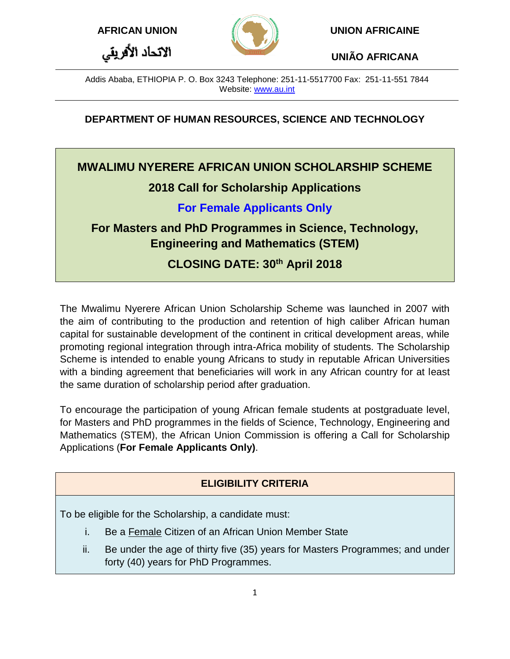



**AFRICAN UNION UNION AFRICAINE**

**UNIÃO AFRICANA**

Addis Ababa, ETHIOPIA P. O. Box 3243 Telephone: 251-11-5517700 Fax: 251-11-551 7844 Website: [www.au.int](http://www.au.int/)

## **DEPARTMENT OF HUMAN RESOURCES, SCIENCE AND TECHNOLOGY**

# **MWALIMU NYERERE AFRICAN UNION SCHOLARSHIP SCHEME**

# **2018 Call for Scholarship Applications**

# **For Female Applicants Only**

**For Masters and PhD Programmes in Science, Technology, Engineering and Mathematics (STEM)**

**CLOSING DATE: 30 th April 2018**

The Mwalimu Nyerere African Union Scholarship Scheme was launched in 2007 with the aim of contributing to the production and retention of high caliber African human capital for sustainable development of the continent in critical development areas, while promoting regional integration through intra-Africa mobility of students. The Scholarship Scheme is intended to enable young Africans to study in reputable African Universities with a binding agreement that beneficiaries will work in any African country for at least the same duration of scholarship period after graduation.

To encourage the participation of young African female students at postgraduate level, for Masters and PhD programmes in the fields of Science, Technology, Engineering and Mathematics (STEM), the African Union Commission is offering a Call for Scholarship Applications (**For Female Applicants Only)**.

## **ELIGIBILITY CRITERIA**

To be eligible for the Scholarship, a candidate must:

- i. Be a Female Citizen of an African Union Member State
- ii. Be under the age of thirty five (35) years for Masters Programmes; and under forty (40) years for PhD Programmes.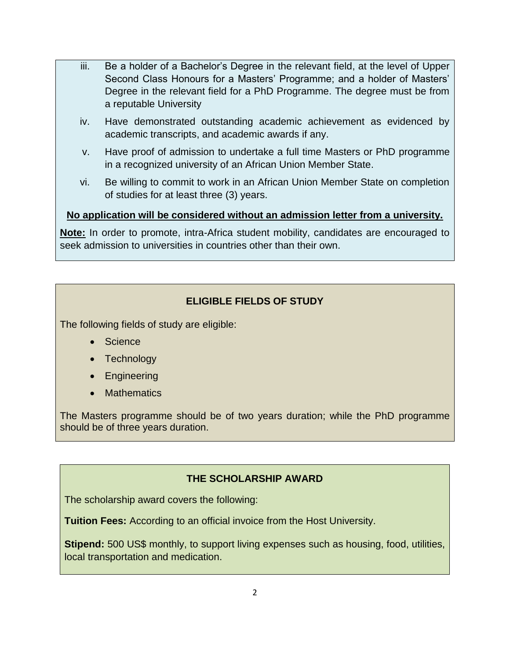- iii. Be a holder of a Bachelor's Degree in the relevant field, at the level of Upper Second Class Honours for a Masters' Programme; and a holder of Masters' Degree in the relevant field for a PhD Programme. The degree must be from a reputable University
- iv. Have demonstrated outstanding academic achievement as evidenced by academic transcripts, and academic awards if any.
- v. Have proof of admission to undertake a full time Masters or PhD programme in a recognized university of an African Union Member State.
- vi. Be willing to commit to work in an African Union Member State on completion of studies for at least three (3) years.

### **No application will be considered without an admission letter from a university.**

**Note:** In order to promote, intra-Africa student mobility, candidates are encouraged to seek admission to universities in countries other than their own.

## **ELIGIBLE FIELDS OF STUDY**

The following fields of study are eligible:

- Science
- Technology
- **•** Engineering
- Mathematics

The Masters programme should be of two years duration; while the PhD programme should be of three years duration.

#### **THE SCHOLARSHIP AWARD**

The scholarship award covers the following:

**Tuition Fees:** According to an official invoice from the Host University.

**Stipend:** 500 US\$ monthly, to support living expenses such as housing, food, utilities, local transportation and medication.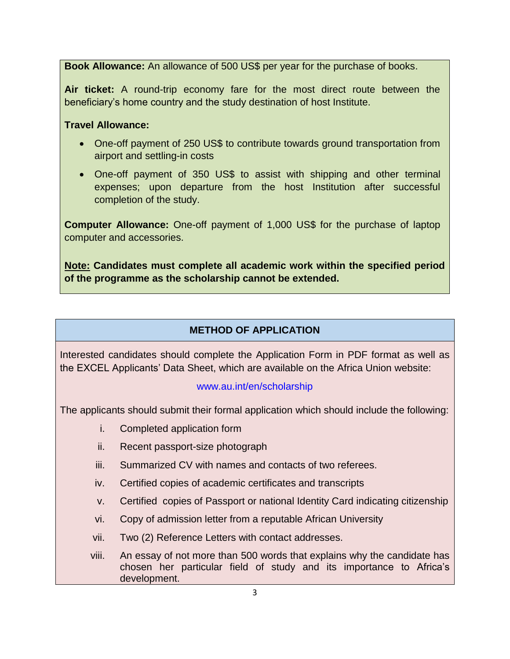**Book Allowance:** An allowance of 500 US\$ per year for the purchase of books.

**Air ticket:** A round-trip economy fare for the most direct route between the beneficiary's home country and the study destination of host Institute.

### **Travel Allowance:**

- One-off payment of 250 US\$ to contribute towards ground transportation from airport and settling-in costs
- One-off payment of 350 US\$ to assist with shipping and other terminal expenses; upon departure from the host Institution after successful completion of the study.

**Computer Allowance:** One-off payment of 1,000 US\$ for the purchase of laptop computer and accessories.

**Note: Candidates must complete all academic work within the specified period of the programme as the scholarship cannot be extended.** 

## **METHOD OF APPLICATION**

Interested candidates should complete the Application Form in PDF format as well as the EXCEL Applicants' Data Sheet, which are available on the Africa Union website:

#### [www.au.int/en/scholarship](http://www.au.int/en/scholarship)

The applicants should submit their formal application which should include the following:

- i. Completed application form
- ii. Recent passport-size photograph
- iii. Summarized CV with names and contacts of two referees.
- iv. Certified copies of academic certificates and transcripts
- v. Certified copies of Passport or national Identity Card indicating citizenship
- vi. Copy of admission letter from a reputable African University
- vii. Two (2) Reference Letters with contact addresses.
- viii. An essay of not more than 500 words that explains why the candidate has chosen her particular field of study and its importance to Africa's development.